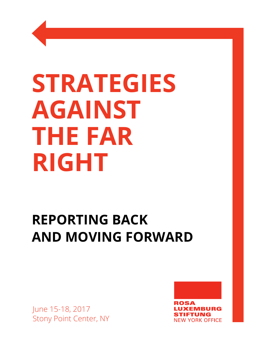# **STRATEGIES AGAINST THE FAR RIGHT**

# **REPORTING BACK AND MOVING FORWARD**

June 15-18, 2017 Stony Point Center, NY

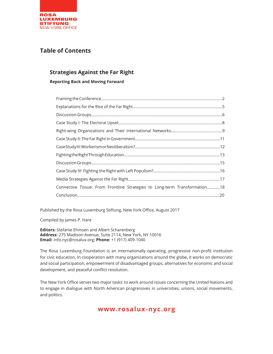

# **Table of Contents**

# **Strategies Against the Far Right**

**Reporting Back and Moving Forward**

| Connective Tissue: From Frontline Strategies to Long-term Transformation18 |  |
|----------------------------------------------------------------------------|--|
|                                                                            |  |

Published by the Rosa Luxemburg Stiftung, New York Office, August 2017

Compiled by James P. Hare

**Editors:** Stefanie Ehmsen and Albert Scharenberg **Address:** 275 Madison Avenue, Suite 2114, New York, NY 10016 **Email:** info.nyc@rosalux.org; **Phone:** +1 (917) 409-1040

The Rosa Luxemburg Foundation is an internationally operating, progressive non-profit institution for civic education. In cooperation with many organizations around the globe, it works on democratic and social participation, empowerment of disadvantaged groups, alternatives for economic and social development, and peaceful conflict resolution.

The New York Office serves two major tasks: to work around issues concerning the United Nations and to engage in dialogue with North American progressives in universities, unions, social movements, and politics.

# **www.rosalux-nyc.org**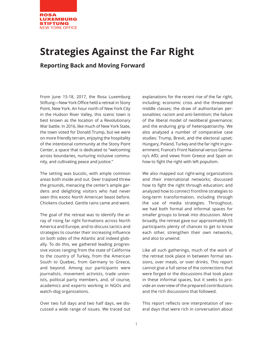

# **Strategies Against the Far Right**

# **Reporting Back and Moving Forward**

From June 15-18, 2017, the Rosa Luxemburg Stiftung—New York Office held a retreat in Stony Point, New York. An hour north of New York City in the Hudson River Valley, this scenic town is best known as the location of a Revolutionary War battle. In 2016, like much of New York State, the town voted for Donald Trump, but we were on more friendly terrain, enjoying the hospitality of the intentional community at the Stony Point Center, a space that is dedicated to "welcoming across boundaries, nurturing inclusive community, and cultivating peace and justice."

The setting was bucolic, with ample common areas both inside and out. Deer traipsed threw the grounds, menacing the center's ample gardens and delighting visitors who had never seen this exotic North American beast before. Chickens clucked. Gentle rains came and went.

The goal of the retreat was to identify the array of rising far right formations across North America and Europe, and to discuss tactics and strategies to counter their increasing influence on both sides of the Atlantic and indeed globally. To do this, we gathered leading progressive voices ranging from the state of California to the country of Turkey, from the American South to Quebec, from Germany to Greece, and beyond. Among our participants were journalists, movement activists, trade unionists, political party members, and, of course, academics and experts working in NGOs and watch-dog organizations.

Over two full days and two half days, we discussed a wide range of issues. We traced out

explanations for the recent rise of the far right, including: economic crisis and the threatened middle classes; the draw of authoritarian personalities; racism and anti-Semitism; the failure of the liberal model of neoliberal governance; and the enduring grip of heteropatriarchy. We also analyzed a number of comparative case studies: Trump, Brexit, and the electoral upset; Hungary, Poland, Turkey and the far right in government; France's Front National versus Germany's AfD; and views from Greece and Spain on how to fight the right with left populism.

We also mapped out right-wing organizations and their international networks; discussed how to fight the right through education; and analyzed how to connect frontline strategies to long-term transformation, including through the use of media strategies. Throughout, we had both formal and informal spaces for smaller groups to break into discussion. More broadly, the retreat gave our approximately 55 participants plenty of chances to get to know each other, strengthen their own networks, and also to unwind.

Like all such gatherings, much of the work of the retreat took place in between formal sessions, over meals, or over drinks. This report cannot give a full sense of the connections that were forged or the discussions that took place in these informal spaces, but it seeks to provide an overview of the prepared contributions and the rich discussions that followed.

This report reflects one interpretation of several days that were rich in conversation about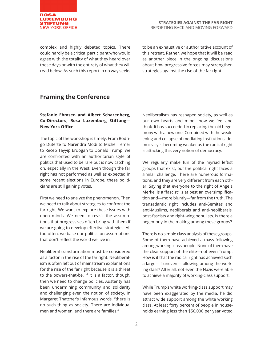

complex and highly debated topics. There could hardly be a critical participant who would agree with the totality of what they heard over these days or with the entirety of what they will read below. As such this report in no way seeks to be an exhaustive or authoritative account of this retreat. Rather, we hope that it will be read as another piece in the ongoing discussions about how progressive forces may strengthen strategies against the rise of the far right.

# **Framing the Conference**

#### **Stefanie Ehmsen and Albert Scharenberg, Co-Directors, Rosa Luxemburg Stiftung— New York Office**

The topic of the workshop is timely. From Rodrigo Duterte to Narendra Modi to Michel Temer to Recep Tayyip Erdoğan to Donald Trump, we are confronted with an authoritarian style of politics that used to be rare but is now catching on, especially in the West. Even though the far right has not performed as well as expected in some recent elections in Europe, these politicians are still gaining votes.

First we need to analyze the phenomenon. Then we need to talk about strategies to confront the far right. We want to explore these issues with open minds. We need to revisit the assumptions that progressives often bring with them if we are going to develop effective strategies. All too often, we base our politics on assumptions that don't reflect the world we live in.

Neoliberal transformation must be considered as a factor in the rise of the far right. Neoliberalism is often left out of mainstream explanations for the rise of the far right because it is a threat to the powers-that-be. If it is a factor, though, then we need to change policies. Austerity has been undermining community and solidarity and challenging even the notion of society. In Margaret Thatcher's infamous words, "there is no such thing as society. There are individual men and women, and there are families."

Neoliberalism has reshaped society, as well as our own hearts and mind—how we feel and think. It has succeeded in replacing the old hegemony with a new one. Combined with the weakening and collapse of mediating institutions, democracy is becoming weaker as the radical right is attacking this very notion of democracy.

We regularly make fun of the myriad leftist groups that exist, but the political right faces a similar challenge. There are numerous formations, and they are very different from each other. Saying that everyone to the right of Angela Merkel is a "fascist" is at best an oversimplification and—more bluntly—far from the truth. The transatlantic right includes anti-Semites and anti-Muslims, neoliberals and anti-neoliberals, post-fascists and right-wing populists. Is there a hegemony in the making among these groups?

There is no simple class analysis of these groups. Some of them have achieved a mass following among working-class people. None of them have the clear support of the elite—not even Trump. How is it that the radical right has achieved such a large—if uneven—following among the working class? After all, not even the Nazis were able to achieve a majority of working-class support.

While Trump's white working-class support may have been exaggerated by the media, he did attract wide support among the white working class. At least forty percent of people in households earning less than \$50,000 per year voted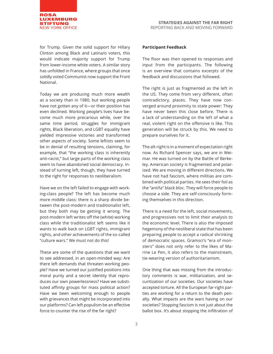

for Trump. Given the solid support for Hillary Clinton among Black and Latina/o voters, this would indicate majority support for Trump from lower-income white voters. A similar story has unfolded in France, where groups that once solidly voted Communist now support the Front National.

Today we are producing much more wealth as a society than in 1980, but working people have not gotten any of it—or their position has even declined. Working people's lives have become much more precarious while, over the same time period, struggles for immigrant rights, Black liberation, and LGBT equality have yielded impressive victories and transformed other aspects of society. Some leftists seem to be in denial of resulting tensions, claiming, for example, that "the working class is inherently anti-racist," but large parts of the working class seem to have abandoned social democracy. Instead of turning left, though, they have turned to the right for responses to neoliberalism.

Have we on the left failed to engage with working-class people? The left has become much more middle class: there is a sharp divide between the post-modern and traditionalist left, but they both may be getting it wrong. The post-modern left writes off the (white) working class while the traditionalist left seems like it wants to walk back on LGBT rights, immigrant rights, and other achievements of the so-called "culture wars." We must not do this!

These are some of the questions that we want to see addressed, in an open-minded way: Are there left demands that threaten working people? Have we turned our justified positions into moral purity and a secret identity that reproduces our own powerlessness? Have we substituted affinity groups for mass political action? Have we been welcoming enough to people with grievances that might be incorporated into our platforms? Can left populism be an effective force to counter the rise of the far right?

#### **Participant Feedback**

The floor was then opened to responses and input from the participants. The following is an overview that contains excerpts of the feedback and discussions that followed.

The right is just as fragmented as the left in the US. They come from very different, often contradictory, places. They have now converged around proximity to state power: They have never been this close before. There is a lack of understanding on the left of what a real, violent right on the offensive is like. This generation will be struck by this. We need to prepare ourselves for it.

The alt-right is in a moment of expectation right now. As Richard Spencer says, we are in Weimar. He was turned on by the Battle of Berkeley. American society is fragmented and polarized. We are moving in different directions. We have not had fascism, where militias are combined with political parties. He sees their foil as the "antifa" black bloc. They will force people to choose a side. They are self-consciously forming themselves in this direction.

There is a need for the left, social movements, and progressives not to limit their analysis to the economic level. There is also the imposed hegemony of the neoliberal state that has been preparing people to accept a radical shrinking of democratic spaces. Gramsci's "era of monsters" does not only refer to the likes of Marine Le Pen, it also refers to the mainstream, tie-wearing version of authoritarianism.

One thing that was missing from the introductory comments is war, militarization, and securitization of our societies. Our societies have accepted torture. All the European far-right parties are working for a return to the death penalty. What impacts are the wars having on our societies? Stopping fascism is not just about the ballot box. It's about stopping the infiltration of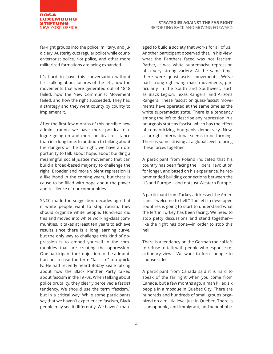

far-right groups into the police, military, and judiciary. Austerity cuts regular police while counter-terrorist police, riot police, and other more militarized formations are being expanded.

It's hard to have this conversation without first talking about failures of the left, how the movements that were generated out of 1848 failed, how the New Communist Movement failed, and how the right succeeded. They had a strategy and they went county by county to implement it.

After the first few months of this horrible new administration, we have more political dialogue going on and more political resistance than in a long time. In addition to talking about the dangers of the far right, we have an opportunity to talk about hope, about building a meaningful social justice movement that can build a broad-based majority to challenge the right. Broader and more violent repression is a likelihood in the coming years, but there is cause to be filled with hope about the power and resilience of our communities.

SNCC made the suggestion decades ago that if white people want to stop racism, they should organize white people. Hundreds did this and moved into white working-class communities. It takes at least ten years to achieve results since there is a long learning curve, but the only way to challenge this kind of oppression is to embed yourself in the communities that are creating the oppression. One participant took objection to the admonition not to use the term "fascism" too quickly. He had recently heard Bobby Seale talking about how the Black Panther Party talked about fascism in the 1970s. When talking about police brutality, they clearly perceived a fascist tendency. We should use the term "fascism," but in a critical way. While some participants say that we haven't experienced fascism, Black people may see it differently. We haven't man-

aged to build a society that works for all of us. Another participant observed that, in his view, what the Panthers faced was not fascism. Rather, it was white supremacist repression of a very strong variety. At the same time, there were quasi-fascist movements. We've had strong right-wing mass movements, particularly in the South and Southwest, such as Black Legion, Texas Rangers, and Arizona Rangers. These fascist or quasi-fascist movements have operated at the same time as the white supremacist state. There is a tendency among the left to describe any repression in a bourgeois state as fascist, which has the effect of romanticizing bourgeois democracy. Now, a far-right international seems to be forming. There is some striving at a global level to bring these forces together.

A participant from Poland indicated that his country has been facing the illiberal revolution for longer, and based on his experience, he recommended building connections between the US and Europe—and not just Western Europe.

A participant from Turkey addressed the Americans: "welcome to hell." The left in developed countries is going to start to understand what the left in Turkey has been facing. We need to stop petty discussions and stand together like the right has done—in order to stop this hell.

There is a tendency on the German radical left to refuse to talk with people who espouse reactionary views. We want to force people to choose sides.

A participant from Canada said it is hard to speak of the far right when you come from Canada, but a few months ago, a man killed six people in a mosque in Quebec City. There are hundreds and hundreds of small groups organized on a militia level just in Quebec. There is Islamaphobic, anti-immigrant, and xenophobic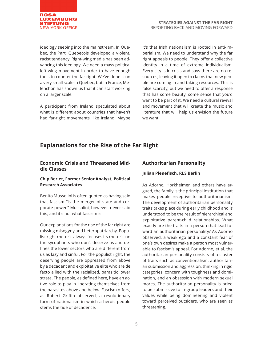

ideology seeping into the mainstream. In Quebec, the Parti Quebecois developed a violent, racist tendency. Right-wing media has been advancing this ideology. We need a mass political left-wing movement in order to have enough tools to counter the far right. We've done it on a very small scale in Quebec, but in France, Melenchon has shown us that it can start working on a larger scale.

A participant from Ireland speculated about what is different about countries that haven't had far-right movements, like Ireland. Maybe

it's that Irish nationalism is rooted in anti-imperialism. We need to understand why the far right appeals to people. They offer a collective identity in a time of extreme individualism. Every city is in crisis and says there are no resources, leaving it open to claims that new people are coming in and taking resources. This is false scarcity, but we need to offer a response that has some beauty, some sense that you'd want to be part of it. We need a cultural revival and movement that will create the music and literature that will help us envision the future we want.

# **Explanations for the Rise of the Far Right**

#### **Economic Crisis and Threatened Middle Classes**

#### **Chip Berlet, Former Senior Analyst, Political Research Associates**

Benito Mussolini is often quoted as having said that fascism "is the merger of state and corporate power." Mussolini, however, never said this, and it's not what fascism is.

Our explanations for the rise of the far right are missing misogyny and heteropatriarchy. Populist right rhetoric always focuses its rhetoric on the sycophants who don't deserve us and defines the lower sectors who are different from us as lazy and sinful. For the populist right, the deserving people are oppressed from above by a decadent and exploitative elite who are de facto allied with the racialized, parasitic lower strata. The people, as defined here, have an active role to play in liberating themselves from the parasites above and below. Fascism offers, as Robert Griffin observed, a revolutionary form of nationalism in which a heroic people stems the tide of decadence.

#### **Authoritarian Personality**

#### **Julian Plenefisch, RLS Berlin**

As Adorno, Horkheimer, and others have argued, the family is the principal institution that makes people receptive to authoritarianism. The development of authoritarian personality traits takes place during early childhood and is understood to be the result of hierarchical and exploitative parent-child relationships. What exactly are the traits in a person that lead toward an authoritarian personality? As Adorno observed, a weak ego and a constant fear of one's own desires make a person most vulnerable to fascism's appeal. For Adorno, et al. the authoritarian personality consists of a cluster of traits such as conventionalism, authoritarian submission and aggression, thinking in rigid categories, concern with toughness and domination, and an obsession with modern sexual mores. The authoritarian personality is pried to be submissive to in-group leaders and their values while being domineering and violent toward perceived outsiders, who are seen as threatening.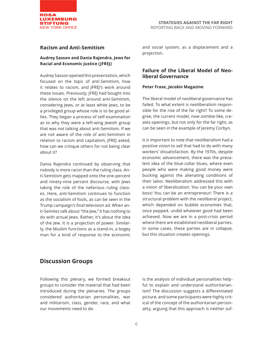

#### **Racism and Anti-Semitism**

#### **Audrey Sasson and Dania Rajendra, Jews for Racial and Economic Justice (JFREJ)**

Audrey Sasson opened this presentation, which focused on the topic of anti-Semitism, how it relates to racism, and JFREJ's work around these issues. Previously, JFREJ had bought into the silence on the left around anti-Semitism, considering Jews, or at least white Jews, to be a privileged group whose role is to be good allies. They began a process of self-examination as to why they were a left-wing Jewish group that was not talking about anti-Semitism. If we are not aware of the role of anti-Semitism in relation to racism and capitalism, JFREJ asked, how can we critique others for not being clear about it?

Dania Rajendra continued by observing that nobody is more racist than the ruling class. Anti-Semitism gets mapped onto the one-percent and ninety-nine percent discourse, with Jews taking the role of the nefarious ruling classes. Here, anti-Semitism continues to function as the socialism of fools, as can be seen in the Trump campaign's final television ad. When anti-Semites talk about "the Jew," it has nothing to do with actual Jews. Rather, it's about the idea of the Jew. It is a projection of power. Similarly, the Muslim functions as a stand-in, a bogey man for a kind of response to the economic

and social system, as a displacement and a projection.

#### **Failure of the Liberal Model of Neoliberal Governance**

#### **Peter Frase,** *Jacobin* **Magazine**

The liberal model of neoliberal governance has failed. To what extent is neoliberalism responsible for the rise of the far right? To some degree, the current model, now zombie-like, creates openings, but not only for the far right, as can be seen in the example of Jeremy Corbyn.

It is important to note that neoliberalism had a positive vision to sell that had to do with many workers' dissatisfaction. By the 1970s, despite economic advancement, there was the prevalent idea of the blue-collar blues, where even people who were making good money were bucking against the alienating conditions of their labor. Neoliberalism addressed this with a vision of liberalization: You can be your own boss! You can be an entrepreneur! There is a structural problem with the neoliberal project, which depended on bubble economies that, once popped, undid whatever good had been achieved. Now we are in a post-crisis period where there are established neoliberal parties. In some cases, these parties are in collapse, but this situation creates openings.

# **Discussion Groups**

Following this plenary, we formed breakout groups to consider the material that had been introduced during the plenaries. The groups considered authoritarian personalities, war and militarism, class, gender, race, and what our movements need to do.

Is the analysis of individual personalities helpful to explain and understand authoritarianism? The discussion suggests a differentiated picture, and some participants were highly critical of the concept of the authoritarian personality, arguing that this approach is neither suf-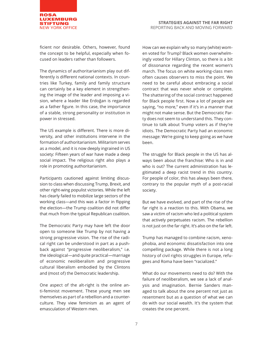

ficient nor desirable. Others, however, found the concept to be helpful, especially when focused on leaders rather than followers.

The dynamics of authoritarianism play out differently is different national contexts. In countries like Turkey, family and family structure can certainly be a key element in strengthening the image of the leader and imposing a vision, where a leader like Erdoğan is regarded as a father figure. In this case, the importance of a stable, strong personality or institution in power in stressed.

The US example is different. There is more diversity, and other institutions intervene in the formation of authoritarianism. Militarism serves as a model, and it is now deeply ingrained in US society: Fifteen years of war have made a deep social impact. The religious right also plays a role in promoting authoritarianism.

Participants cautioned against limiting discussion to class when discussing Trump, Brexit, and other right-wing populist victories. While the left has clearly failed to mobilize large sectors of the working class—and this was a factor in flipping the election—the Trump coalition did not differ that much from the typical Republican coalition.

The Democratic Party may have left the door open to someone like Trump by not having a strong progressive vision. The rise of the radical right can be understood in part as a pushback against "progressive neoliberalism," i.e. the ideological—and quite practical—marriage of economic neoliberalism and progressive cultural liberalism embodied by the Clintons and (most of) the Democratic leadership.

One aspect of the alt-right is the online anti-feminist movement. These young men see themselves as part of a rebellion and a counterculture. They view feminism as an agent of emasculation of Western men.

How can we explain why so many (white) women voted for Trump? Black women overwhelmingly voted for Hillary Clinton, so there is a bit of dissonance regarding the recent women's march. The focus on white working-class men often causes observers to miss the point. We need to be careful about embracing a social contract that was never whole or complete. The shattering of the social contract happened for Black people first. Now a lot of people are saying, "no more," even if it's in a manner that might not make sense. But the Democratic Party does not seem to understand this. They continue to talk about Trump voters as if they're idiots. The Democratic Party had an economic message: We're going to keep going as we have been.

The struggle for Black people in the US has always been about the franchise: Who is in and who is out? The current administration has legitimated a deep racist trend in this country. For people of color, this has always been there, contrary to the popular myth of a post-racial society.

But we have evolved, and part of the rise of the far right is a reaction to this. With Obama, we saw a victim of racism who led a political system that actively perpetuates racism. The rebellion is not just on the far right. It's also on the far left.

Trump has managed to combine racism, xenophobia, and economic dissatisfaction into one compelling package. While there is not a long history of civil rights struggles in Europe, refugees and Roma have been "racialized."

What do our movements need to do? With the failure of neoliberalism, we see a lack of analysis and imagination. Bernie Sanders managed to talk about the one percent not just as resentment but as a question of what we can do with our social wealth. It's the system that creates the one percent.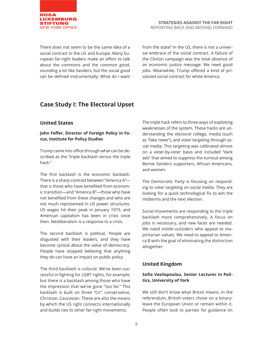

There does not seem to be the same idea of a social contract in the US and Europe. Many European far-right leaders make an effort to talk about the commons and the common good, sounding a lot like Sanders, but the social good can be defined instrumentally: What do I want

from the state? In the US, there is not a universal embrace of the social contract. A failure of the Clinton campaign was the total absence of an economic justice message: We need good jobs. Meanwhile, Trump offered a kind of privatized social contract for white America.

# **Case Study I: The Electoral Upset**

#### **United States**

#### **John Feffer, Director of Foreign Policy in Focus, Institute for Policy Studies**

Trump came into office through what can be described as the "triple backlash versus the triple hack."

The first backlash is the economic backlash. There is a sharp contrast between "America A" that is those who have benefited from economic transition—and "America B"—those who have not benefited from these changes and who are not much represented in US power structures. US wages hit their peak in January 1973, and American capitalism has been in crisis since then. Neoliberalism is a response to a crisis.

The second backlash is political. People are disgusted with their leaders, and they have become cynical about the value of democracy. People have stopped believing that anything they do can have an impact on public policy.

The third backlash is cultural. We've been successful in fighting for LGBT rights, for example, but there is a backlash among those who have the impression that we've gone "too far." This backlash is built on three "Cs": conservative, Christian, Caucasian. These are also the means by which the US right connects internationally and builds ties to other far-right movements.

The triple hack refers to three ways of exploiting weaknesses of the system. These hacks are understanding the electoral college, media (such as "fake news"), and voter targeting through social media. This targeting was calibrated almost on a voter-by-voter basis and included "dark ads" that aimed to suppress the turnout among Bernie Sanders supporters, African Americans, and women.

The Democratic Party is focusing on responding to voter targeting on social media. They are looking for a quick technological fix to win the midterms and the next election.

Social movements are responding to the triple backlash more comprehensively. A focus on jobs is necessary, and new faces are needed. We need inside-outsiders who appeal to majoritarian values. We need to appeal to America B with the goal of eliminating the distinction altogether.

#### **United Kingdom**

#### **Sofia Vasilopoulou, Senior Lecturer in Politics, University of York**

We still don't know what Brexit means. In the referendum, British voters chose on a binary: leave the European Union or remain within it. People often look to parties for guidance on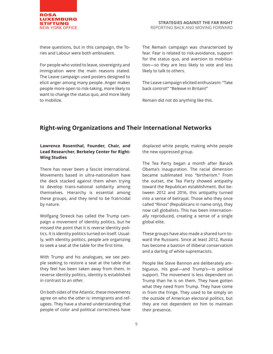

these questions, but in this campaign, the Tories and Labour were both ambivalent.

For people who voted to leave, sovereignty and immigration were the main reasons stated. The Leave campaign used posters designed to elicit anger among many people. Anger makes people more open to risk-taking, more likely to want to change the status quo, and more likely to mobilize.

The Remain campaign was characterized by fear. Fear is related to risk-avoidance, support for the status quo, and aversion to mobilization—so they are less likely to vote and less likely to talk to others.

The Leave campaign elicited enthusiasm: "Take back control!" "Be*leave* in Britain!"

Remain did not do anything like this.

# **Right-wing Organizations and Their International Networks**

#### **Lawrence Rosenthal, Founder, Chair, and Lead Researcher, Berkeley Center for Right-Wing Studies**

There has never been a fascist international. Movements based in ultra-nationalism have the deck stacked against them when trying to develop trans-national solidarity among themselves. Hierarchy is essential among these groups, and they tend to be fratricidal by nature.

Wolfgang Streeck has called the Trump campaign a movement of identity politics, but he missed the point that it is *reverse* identity politics. It is identity politics turned on itself. Usually, with identity politics, people are organizing to seek a seat at the table for the first time.

With Trump and his analogues, we see people seeking to restore a seat at the table that they feel has been taken away from them. In reverse identity politics, identity is established in contrast to an *other*.

On both sides of the Atlantic, these movements agree on who the *other* is: immigrants and refugees. They have a shared understanding that people of color and political correctness have displaced white people, making white people the new oppressed group.

The Tea Party began a month after Barack Obama's inauguration. The racial dimension became sublimated into "birtherism." From the outset, the Tea Party showed antipathy toward the Republican establishment. But between 2012 and 2016, this antipathy turned into a sense of betrayal. Those who they once called "Rinos" (Republicans in name only), they now call globalists. This has been internationally reproduced, creating a sense of a single global elite.

These groups have also made a shared turn toward the Russians. Since at least 2012, Russia has become a bastion of illiberal conservatism and a darling of white supremacists.

People like Steve Bannon are deliberately ambiguous. His goal—and Trump's—is political support. The movement is less dependent on Trump than he is on them. They have gotten what they need from Trump. They have come in from the fringe. They used to be simply on the outside of American electoral politics, but they are not dependent on him to maintain their presence.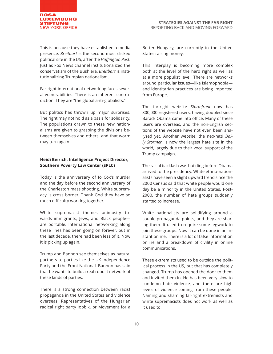

This is because they have established a media presence. *Breitbart* is the second most clicked political site in the US, after the *Huffington Post*. Just as Fox News channel institutionalized the conservatism of the Bush era, *Breitbart* is institutionalizing Trumpian nationalism.

Far-right international networking faces several vulnerabilities. There is an inherent contradiction: They are "the global anti-globalists."

But politics has thrown up major surprises. The right may not hold as a basis for solidarity. The populations drawn to these new nationalisms are given to grasping the divisions between themselves and others, and that worm may turn again.

#### **Heidi Beirich, Intelligence Project Director, Southern Poverty Law Center (SPLC)**

Today is the anniversary of Jo Cox's murder and the day before the second anniversary of the Charleston mass shooting. White supremacy is cross border. Thank God they have so much difficulty working together.

White supremacist themes—animosity towards immigrants, Jews, and Black people are portable. International networking along these lines has been going on forever, but in the last decade, there had been less of it. Now it is picking up again.

Trump and Bannon see themselves as natural partners to parties like the UK Independence Party and the Front National. Bannon has said that he wants to build a real robust network of these kinds of parties.

There is a strong connection between racist propaganda in the United States and violence overseas. Representatives of the Hungarian radical right party Jobbik, or Movement for a

Better Hungary, are currently in the United States raising money.

This interplay is becoming more complex both at the level of the hard right as well as at a more populist level. There are networks around particular issues—like Islamophobia and identitarian practices are being imported from Europe.

The far-right website *Stormfront* now has 300,000 registered users, having doubled since Barack Obama came into office. Many of these users are overseas, and the non-English sections of the website have not even been analyzed yet. Another website, the neo-nazi *Daily Stormer*, is now the largest hate site in the world, largely due to their vocal support of the Trump campaign.

The racial backlash was building before Obama arrived to the presidency. White ethno-nationalists have seen a slight upward trend since the 2000 Census said that white people would one day be a minority in the United States. Post-2000, the number of hate groups suddenly started to increase.

White nationalists are solidifying around a couple propaganda points, and they are sharing them. It used to require some legwork to join these groups. Now it can be done in an instant online. There is a lot of false information online and a breakdown of civility in online communications.

These extremists used to be outside the political process in the US, but that has completely changed. Trump has opened the door to them and invited them in. He has been very slow to condemn hate violence, and there are high levels of violence coming from these people. Naming and shaming far-right extremists and white supremacists does not work as well as it used to.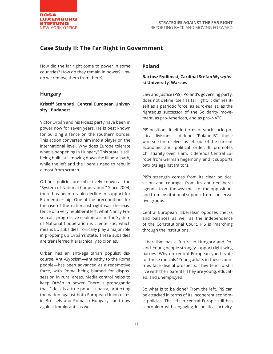

# **Case Study II: The Far Right in Government**

How did the far right come to power in some countries? How do they remain in power? How do we remove them from there?

#### **Hungary**

#### **Kristóf Szombati, Central European University , Budapest**

Victor Orbán and his Fidesz party have been in power now for seven years. He is best known for building a fence on the southern border. This action converted him into a player on the international level. Why does Europe tolerate what is happening in Hungary? This state is still being built, still moving down the illiberal path, while the left and the liberals need to rebuild almost from scratch.

Orbán's policies are collectively known as the "System of National Cooperation." Since 2004, there has been a rapid decline in support for EU membership. One of the preconditions for the rise of the nationalist right was the existence of a very neoliberal left, what Nancy Fraser calls progressive neoliberalism. The System of National Cooperation is clientelistic, which means EU subsidies ironically play a major role in propping up Orbán's state. These subsidies are transferred hierarchically to cronies.

Orbán has an anti-egalitarian populist discourse. Anti-Gypsism—antipathy to the Roma people—has been advanced as a redemptive force, with Roma being blamed for dispossession in rural areas. Media control helps to keep Orbán in power. There is propaganda that Fidesz is a true populist party, protecting the nation against both European Union elites in Brussels and Roma in Hungary—and now against immigrants as well.

#### **Poland**

#### **Bartosz Rydliński, Cardinal Stefan Wyszyński University, Warsaw**

Law and Justice (PiS), Poland's governing party, does not define itself as far right. It defines itself as a patriotic force, as euro-realist, as the righteous successor of the Solidarity movement, as pro-American, and as pro-NATO.

PiS positions itself in terms of stark socio-political divisions. It defends "Poland B"—those who see themselves as left out of the current economic and political order. It promotes Christianity over Islam. It defends Central Europe from German hegemony, and it supports patriots against traitors.

PiS's strength comes from its clear political vision and courage, from its anti-neoliberal agenda, from the weakness of the opposition, and from institutional support from conservative groups.

Central European illiberalism opposes checks and balances as well as the independence of the Constitutional Court. PiS is "marching through the institutions."

Illiberalism has a future in Hungary and Poland. Young people strongly support right-wing parties. Why do central European youth vote for these radicals? Young adults in these countries face dismal prospects. They tend to still live with their parents. They are young, educated, and unemployed.

So what is to be done? From the left, PiS can be attacked in terms of its incoherent economic policies. The left in central Europe still has a problem with engaging in political activity.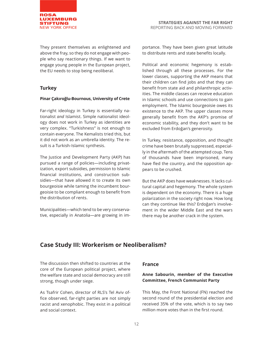

They present themselves as enlightened and above the fray, so they do not engage with people who say reactionary things. If we want to engage young people in the European project, the EU needs to stop being neoliberal.

#### **Turkey**

#### **Pinar Çakıroğlu-Bournous, University of Crete**

Far-right ideology in Turkey is essentially nationalist *and* Islamist. Simple nationalist ideology does not work in Turkey as identities are very complex. "Turkishness" is not enough to contain everyone. The Kemalists tried this, but it did not work as an umbrella identity. The result is a Turkish-Islamic synthesis.

The Justice and Development Party (AKP) has pursued a range of policies—including privatization, export subsidies, permission to Islamic financial institutions, and construction subsidies—that have allowed it to create its own bourgeoisie while taming the incumbent bourgeoisie to be compliant enough to benefit from the distribution of rents.

Municipalities—which tend to be very conservative, especially in Anatolia—are growing in importance. They have been given great latitude to distribute rents and state benefits locally.

Political and economic hegemony is established through all these processes. For the lower classes, supporting the AKP means that their children can find jobs and that they can benefit from state aid and philanthropic activities. The middle classes can receive education in Islamic schools and use connections to gain employment. The Islamic bourgeoisie owes its existence to the AKP. The upper classes more generally benefit from the AKP's promise of economic stability, and they don't want to be excluded from Erdoğan's generosity.

In Turkey, resistance, opposition, and thought crime have been brutally suppressed, especially in the aftermath of the attempted coup. Tens of thousands have been imprisoned, many have fled the country, and the opposition appears to be crushed.

But the AKP does have weaknesses. It lacks cultural capital and hegemony. The whole system is dependent on the economy. There is a huge polarization in the society right now. How long can they continue like this? Erdoğan's involvement in the wider Middle East and the wars there may be another crack in the system.

# **Case Study III: Workerism or Neoliberalism?**

The discussion then shifted to countries at the core of the European political project, where the welfare state and social democracy are still strong, though under siege.

As Tsafrir Cohen, director of RLS's Tel Aviv office observed, far-right parties are not simply racist and xenophobic. They exist in a political and social context.

#### **France**

#### **Anne Sabourin, member of the Executive Committee, French Communist Party**

This May, the Front National (FN) reached the second round of the presidential election and received 35% of the vote, which is to say two million more votes than in the first round.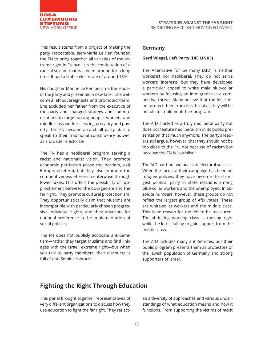

This result stems from a project of making the party respectable. Jean-Marie Le Pen founded the FN to bring together all varieties of the extreme right in France. It is the continuation of a radical stream that has been around for a long time. It had a stable electorate of around 15%.

His daughter Marine Le Pen became the leader of the party and presented a new face. She welcomed left sovereigntists and promoted them. She excluded her father from the executive of the party and changed strategy and communications to target young people, women, and middle-class workers fearing precarity and poverty. The FN became a catch-all party able to speak to their traditional constituency as well as a broader electorate.

The FN has a neoliberal program serving a racist and nationalist vision. They promote economic patriotism (close the borders, exit Europe, etcetera), but they also promote the competitiveness of French enterprise through lower taxes. This offers the possibility of rapprochement between the bourgeoisie and the far right. They promote cultural protectionism. They opportunistically claim that Muslims are incompatible with particularly chosen progressive individual rights, and they advocate for national preference in the implementation of social policies.

The FN does not publicly advocate anti-Semitism—rather they target Muslims and find linkages with the Israeli extreme right—but when you talk to party members, their discourse is full of anti-Semitic rhetoric.

#### **Germany**

#### **Gerd Wiegel, Left Party (DIE LINKE)**

The Alternative for Germany (AfD) is neither workerist nor neoliberal. They do not serve workers' interests, but they have developed a particular appeal to white male blue-collar workers by focusing on immigrants as a competitive threat. Many believe that the left cannot protect them from this threat as they will be unable to implement their program.

The AfD started as a truly neoliberal party but does not feature neoliberalism in its public presentation that much anymore. The party's leaders still argue, however, that they should not be too close to the FN, not because of racism but because the FN is "socialist."

The AfD has had two peaks of electoral success. When the focus of their campaign has been on refugee policies, they have become the strongest political party in state elections among blue-collar workers and the unemployed. In absolute numbers, however, these groups do not reflect the largest group of AfD voters. These are white-collar workers and the middle class. This is no reason for the left to be reassured. The shrinking working class is moving right while the left is failing to gain support from the middle class.

The AfD includes many anti-Semites, but their public program presents them as protectors of the Jewish population of Germany and strong supporters of Israel.

# **Fighting the Right Through Education**

This panel brought together representatives of very different organizations to discuss how they use education to fight the far right. They reflect-

ed a diversity of approaches and various understandings of what education means and how it functions. From supporting the victims of racist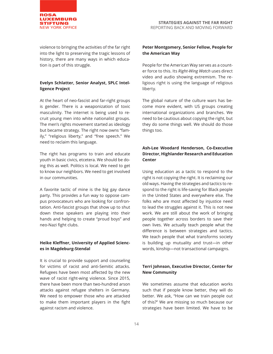

violence to bringing the activities of the far right into the light to preserving the tragic lessons of history, there are many ways in which education is part of this struggle.

#### **Evelyn Schlatter, Senior Analyst, SPLC Intelligence Project**

At the heart of neo-fascist and far-right groups is gender. There is a weaponization of toxic masculinity. The internet is being used to recruit young men into white nationalist groups. The men's rights movement started as ideology but became strategy. The right now owns "family," "religious liberty," and "free speech." We need to reclaim this language.

The right has programs to train and educate youth in basic civics, etcetera. We should be doing this as well. Politics is local. We need to get to know our neighbors. We need to get involved in our communities.

A favorite tactic of mine is the big gay dance party. This provides a fun way to oppose campus provocateurs who are looking for confrontation. Anti-fascist groups that show up to shut down these speakers are playing into their hands and helping to create "proud boys" and neo-Nazi fight clubs.

#### **Heike Kleffner, University of Applied Sciences in Magdeburg-Stendal**

It is crucial to provide support and counseling for victims of racist and anti-Semitic attacks. Refugees have been most affected by the new wave of racist right-wing violence. Since 2015, there have been more than two-hundred arson attacks against refugee shelters in Germany. We need to empower those who are attacked to make them important players in the fight against racism and violence.

#### **Peter Montgomery, Senior Fellow, People for the American Way**

People for the American Way serves as a counter force to this. Its *Right-Wing Watch* uses direct video and audio showing extremism. The religious right is using the language of religious liberty.

The global nature of the culture wars has become more evident, with US groups creating international organizations and branches. We need to be cautious about copying the right, but they do some things well. We should do those things too.

#### **Ash-Lee Woodard Henderson, Co-Executive Director, Highlander Research and Education Center**

Using education as a tactic to respond to the right is not copying the right. It is reclaiming our old ways. Having the strategies and tactics to respond to the right is life-saving for Black people in the United States and everywhere else. The folks who are most affected by injustice need to lead the struggles against it. This is not new work. We are still about the work of bringing people together across borders to save their own lives. We actually teach people what the difference is between strategies and tactics. We teach people that what transforms society is building up mutuality and trust—in other words, kinship—not transactional campaigns.

#### **Terri Johnson, Executive Director, Center for New Community**

We sometimes assume that education works such that if people know better, they will do better. We ask, "How can we train people out of this?" We are missing so much because our strategies have been limited. We have to be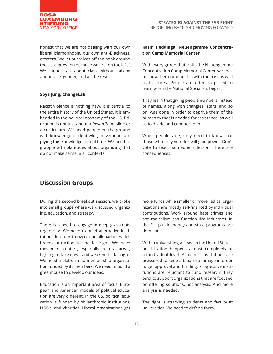

honest that we are not dealing with our own liberal Islamophobia, our own anti-Blackness, etcetera. We let ourselves off the hook around the class question because we are "on the left." We cannot talk about class without talking about race, gender, and all the rest.

#### **Soya Jung, ChangeLab**

Racist violence is nothing new. It is central to the entire history of the United States. It is embedded in the political economy of the US. Education is not just about a PowerPoint slide or a curriculum. We need people on the ground with knowledge of right-wing movements applying this knowledge in real time. We need to grapple with platitudes about organizing that do not make sense in all contexts.

#### **Karin Heddinga, Neuengamme Concentration Camp Memorial Center**

With every group that visits the Neuengamme Concentration Camp Memorial Center, we seek to show them continuities with the past as well as fractures. People are often surprised to learn when the National Socialists began.

They learn that giving people numbers instead of names, along with triangles, stars, and so on, was done in order to deprive them of the humanity that is needed for resistance, as well as to divide and conquer them.

When people vote, they need to know that those who they vote for will gain power. Don't vote to teach someone a lesson. There are consequences.

# **Discussion Groups**

During the second breakout session, we broke into small groups where we discussed organizing, education, and strategy.

There is a need to engage in deep grassroots organizing. We need to build alternative institutions in order to overcome alienation, which breeds attraction to the far right. We need movement centers, especially in rural areas, fighting to take down and weaken the far right. We need a platform—a membership organization funded by its members. We need to build a greenhouse to develop our ideas.

Education is an important area of focus. European and American models of political education are very different. In the US, political education is funded by philanthropic institutions, NGOs, and charities. Liberal organizations get more funds while smaller or more radical organizations are mostly self-financed by individual contributions. Work around hate crimes and anti-radicalism can function like industries. In the EU, public money and state programs are dominant.

Within universities, at least in the United States, politicization happens almost completely at an individual level. Academic institutions are pressured to keep a bipartisan image in order to get approval and funding. Progressive institutions are reluctant to fund research. They tend to support organizations that are focused on offering solutions, not analysis. And more analysis is needed.

The right is attacking students and faculty at universities. We need to defend them.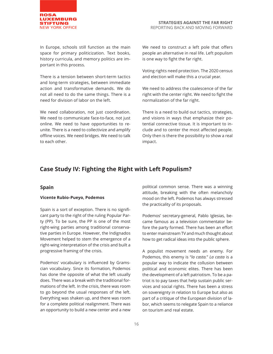

In Europe, schools still function as the main space for primary politicization. Text books, history curricula, and memory politics are important in this process.

There is a tension between short-term tactics and long-term strategies, between immediate action and transformative demands. We do not all need to do the same things. There is a need for division of labor on the left.

We need collaboration, not just coordination. We need to communicate face-to-face, not just online. We need to have opportunities to reunite. There is a need to collectivize and amplify offline voices. We need bridges. We need to talk to each other.

We need to construct a left pole that offers people an alternative in real life. Left populism is one way to fight the far right.

Voting rights need protection. The 2020 census and election will make this a crucial year.

We need to address the coalescence of the far right with the center right. We need to fight the normalization of the far right.

There is a need to build out tactics, strategies, and visions in ways that emphasize their potential connective tissue. It is important to include and to center the most affected people. Only then is there the possibility to show a real impact.

# **Case Study IV: Fighting the Right with Left Populism?**

#### **Spain**

#### **Vicente Rubio-Pueyo, Podemos**

Spain is a sort of exception. There is no significant party to the right of the ruling Popular Party (PP). To be sure, the PP is one of the most right-wing parties among traditional conservative parties in Europe. However, the Indignados Movement helped to stem the emergence of a right-wing interpretation of the crisis and built a progressive framing of the crisis.

Podemos' vocabulary is influenced by Gramscian vocabulary. Since its formation, Podemos has done the opposite of what the left usually does. There was a break with the traditional formations of the left. In the crisis, there was room to go beyond the usual responses of the left. Everything was shaken up, and there was room for a complete political realignment. There was an opportunity to build a new center and a new

political common sense. There was a winning attitude, breaking with the often melancholy mood on the left. Podemos has always stressed the practicality of its proposals.

Podemos' secretary-general, Pablo Iglesias, became famous as a television commentator before the party formed. There has been an effort to enter mainstream TV and much thought about how to get radical ideas into the public sphere.

A populist movement needs an enemy. For Podemos, this enemy is "*la casta.*" *La casta* is a popular way to indicate the collusion between political and economic elites. There has been the development of a left patriotism. To be a patriot is to pay taxes that help sustain public services and social rights. There has been a stress on sovereignty in relation to Europe but also as part of a critique of the European division of labor, which seems to relegate Spain to a reliance on tourism and real estate.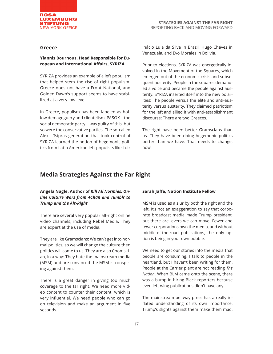

#### **Greece**

#### **Yiannis Bournous, Head Responsible for European and International Affairs, SYRIZA**

SYRIZA provides an example of a left populism that helped stem the rise of right populism. Greece does not have a Front National, and Golden Dawn's support seems to have stabilized at a very low level.

In Greece, populism has been labeled as hollow demagoguery and clientelism. PASOK—the social democratic party—was guilty of this, but so were the conservative parties. The so-called Alexis Tsipras generation that took control of SYRIZA learned the notion of hegemonic politics from Latin American left populists like Luiz

Inácio Lula da Silva in Brazil, Hugo Chávez in Venezuela, and Evo Morales in Bolivia.

Prior to elections, SYRIZA was energetically involved in the Movement of the Squares, which emerged out of the economic crisis and subsequent austerity. People in the squares demanded a voice and became the people against austerity. SYRIZA inserted itself into the new polarities: The people versus the elite and anti-austerity versus austerity. They claimed patriotism for the left and allied it with anti-establishment discourse: There are two Greeces.

The right have been better Gramscians than us. They have been doing hegemonic politics better than we have. That needs to change, now.

## **Media Strategies Against the Far Right**

#### **Angela Nagle, Author of** *Kill All Normies: Online Culture Wars from 4Chan and Tumblr to Trump and the Alt-Right*

There are several very popular alt-right online video channels, including Rebel Media. They are expert at the use of media.

They are like Gramscians: We can't get into normal politics, so we will change the culture then politics will come to us. They are also Chomskian, in a way: They hate the mainstream media (MSM) and are convinced the MSM is conspiring against them.

There is a great danger in giving too much coverage to the far right. We need more video content to counter their content, which is very influential. We need people who can go on television and make an argument in five seconds.

#### **Sarah Jaffe, Nation Institute Fellow**

MSM is used as a slur by both the right and the left. It's not an exaggeration to say that corporate broadcast media made Trump president, but there are levers we can move. Fewer and fewer corporations own the media, and without middle-of-the-road publications, the only option is being in your own bubble.

We need to get our stories into the media that people are consuming. I talk to people in the heartland, but I haven't been writing for them. People at the Carrier plant are not reading *The Nation*. When BLM came onto the scene, there was a bump in hiring Black reporters because even left-wing publications didn't have any.

The mainstream beltway press has a really inflated understanding of its own importance. Trump's slights against them make them mad,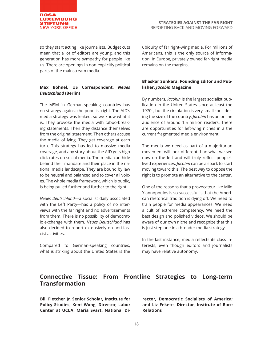

so they start acting like journalists. Budget cuts mean that a lot of editors are young, and this generation has more sympathy for people like us. There are openings in non-explicitly political parts of the mainstream media.

#### **Max Böhnel, US Correspondent,** *Neues Deutschland* **(Berlin)**

The MSM in German-speaking countries has no strategy against the populist right. The AfD's media strategy was leaked, so we know what it is. They provoke the media with taboo-breaking statements. Then they distance themselves from the original statement. Then others accuse the media of lying. They get coverage at each turn. This strategy has led to massive media coverage, and any story about the AfD gets high click rates on social media. The media can hide behind their mandate and their place in the national media landscape. They are bound by law to be neutral and balanced and to cover all voices. The whole media framework, which is public, is being pulled further and further to the right.

*Neues Deutschland*—a socialist daily associated with the Left Party—has a policy of no interviews with the far right and no advertisements from them. There is no possibility of democratic exchange with them. *Neues Deutschland* has also decided to report extensively on anti-fascist activities.

Compared to German-speaking countries, what is striking about the United States is the ubiquity of far right-wing media. For millions of Americans, this is the only source of information. In Europe, privately owned far-right media remains on the margins.

#### **Bhaskar Sunkara, Founding Editor and Publisher,** *Jacobin* **Magazine**

By numbers, *Jacobin* is the largest socialist publication in the United States since at least the 1970s, but the circulation is very small considering the size of the country. *Jacobin* has an online audience of around 1.5 million readers. There are opportunities for left-wing niches in a the current fragmented media environment.

The media we need as part of a majoritarian movement will look different than what we see now on the left and will truly reflect people's lived experiences. *Jacobin* can be a spark to start moving toward this. The best way to oppose the right is to promote an alternative to the center.

One of the reasons that a provocateur like Milo Yiannopoulos is so successful is that the American rhetorical tradition is dying off. We need to train people for media appearances. We need a cult of extreme competency. We need the best design and polished videos. We should be aware of our own niche and recognize that this is just step one in a broader media strategy.

In the last instance, media reflects its class interests, even though editors and journalists may have relative autonomy.

# **Connective Tissue: From Frontline Strategies to Long-term Transformation**

**Bill Fletcher Jr, Senior Scholar, Institute for Policy Studies; Kent Wong, Director, Labor Center at UCLA; Maria Svart, National Di-**

**rector, Democratic Socialists of America; and Liz Fekete, Director, Institute of Race Relations**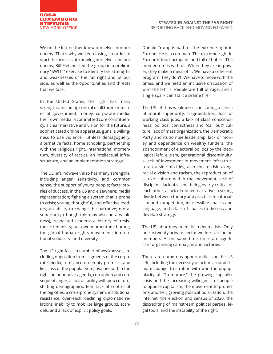

We on the left neither know ourselves nor our enemy. That's why we keep losing. In order to start the process of knowing ourselves and our enemy, Bill Fletcher led the group in a preliminary "SWOT" exercise to identify the strengths and weaknesses of the far right and of our side, as well as the opportunities and threats that we face.

In the United States, the right has many strengths, including control of all three branches of government, money, corporate media, their own media, a committed core constituency, a clear narrative and vision for the future, a sophisticated online apparatus, guns, a willingness to use violence, ruthless demagoguery, alternative facts, home schooling, partnership with the religious right, international momentum, diversity of tactics, an intellectual infrastructure, and an implementation strategy.

The US left, however, also has many strengths, including anger, sensitivity, and common sense; the support of young people; facts; stories of success, in the US and elsewhere; media representation; fighting a system that is prone to crisis; young, thoughtful, and effective leaders; an ability to change the narrative; moral superiority (though this may also be a weakness); respected leaders; a history of resistance; feminists; our own momentum; humor; the global human rights movement; international solidarity; and diversity.

The US right faces a number of weaknesses, including opposition from segments of the corporate media, a reliance on empty promises and lies, loss of the popular vote, rivalries within the right, an unpopular agenda, corruption and consequent anger, a lack of facility with pop culture, shifting demographics, fear, lack of control of the big cities, a crisis-prone system, institutional resistance, overreach, declining diplomatic relations, inability to mobilize large groups, scandals, and a lack of explicit policy goals.

Donald Trump is bad for the extreme right in Europe. He is a con man. The extreme right in Europe is loud, arrogant, and full of hubris. The momentum is with us. When they are in power, they make a mess of it. We have a coherent program. They don't. We have to move with the times, and we need an inclusive discussion of who the left is. People are full of rage, and a single spark can start a prairie fire.

The US left has weaknesses, including a sense of moral superiority, fragmentation, loss of working class jobs, a lack of class consciousness, political correctness and "call out" culture, lack of mass organization, the Democratic Party and its zombie leadership, lack of money and dependence on wealthy funders, the abandonment of electoral politics by the ideological left, elitism, generational discontinuity, a lack of investment in movement infrastructure outside of cities, aversion to risk-taking, racial division and racism, the reproduction of a toxic culture within the movement, lack of discipline, lack of vision, being overly critical of each other, a lack of unified narrative, a strong divide between theory and practice, territorialism and competition, inaccessible spaces and language, and a lack of spaces to discuss and develop strategy.

The US labor movement is in deep crisis. Only one in twenty private-sector workers are union members. At the same time, there are significant organizing campaigns and victories.

There are numerous opportunities for the US left, including the necessity of action around climate change, frustration with war, the unpopularity of "Trumpcare," the growing capitalist crisis and the increasing willingness of people to oppose capitalism, the movement to protect one another, growing political polarization, the internet, the election and census of 2020, the discrediting of mainstream political parties, legal tools, and the instability of the right.